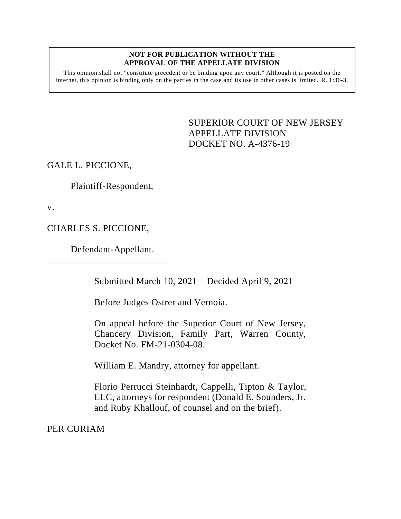#### **NOT FOR PUBLICATION WITHOUT THE APPROVAL OF THE APPELLATE DIVISION**

This opinion shall not "constitute precedent or be binding upon any court." Although it is posted on the internet, this opinion is binding only on the parties in the case and its use in other cases is limited.  $R_1$  1:36-3.

> <span id="page-0-0"></span>SUPERIOR COURT OF NEW JERSEY APPELLATE DIVISION DOCKET NO. A-4376-19

GALE L. PICCIONE,

Plaintiff-Respondent,

v.

CHARLES S. PICCIONE,

Defendant-Appellant.

\_\_\_\_\_\_\_\_\_\_\_\_\_\_\_\_\_\_\_\_\_\_\_\_\_

Submitted March 10, 2021 – Decided April 9, 2021

Before Judges Ostrer and Vernoia.

On appeal before the Superior Court of New Jersey, Chancery Division, Family Part, Warren County, Docket No. FM-21-0304-08.

William E. Mandry, attorney for appellant.

Florio Perrucci Steinhardt, Cappelli, Tipton & Taylor, LLC, attorneys for respondent (Donald E. Sounders, Jr. and Ruby Khallouf, of counsel and on the brief).

PER CURIAM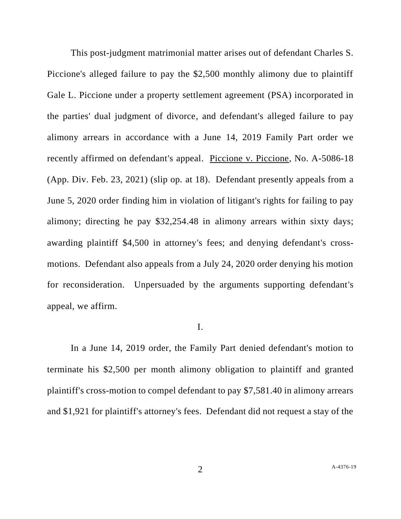This post-judgment matrimonial matter arises out of defendant Charles S. Piccione's alleged failure to pay the \$2,500 monthly alimony due to plaintiff Gale L. Piccione under a property settlement agreement (PSA) incorporated in the parties' dual judgment of divorce, and defendant's alleged failure to pay alimony arrears in accordance with a June 14, 2019 Family Part order we recently affirmed on defendant's appeal. Piccione v. Piccione, No. A-5086-18 (App. Div. Feb. 23, 2021) (slip op. at 18). Defendant presently appeals from a June 5, 2020 order finding him in violation of litigant's rights for failing to pay alimony; directing he pay \$32,254.48 in alimony arrears within sixty days; awarding plaintiff \$4,500 in attorney's fees; and denying defendant's crossmotions. Defendant also appeals from a July 24, 2020 order denying his motion for reconsideration. Unpersuaded by the arguments supporting defendant's appeal, we affirm.

### I.

In a June 14, 2019 order, the Family Part denied defendant's motion to terminate his \$2,500 per month alimony obligation to plaintiff and granted plaintiff's cross-motion to compel defendant to pay \$7,581.40 in alimony arrears and \$1,921 for plaintiff's attorney's fees. Defendant did not request a stay of the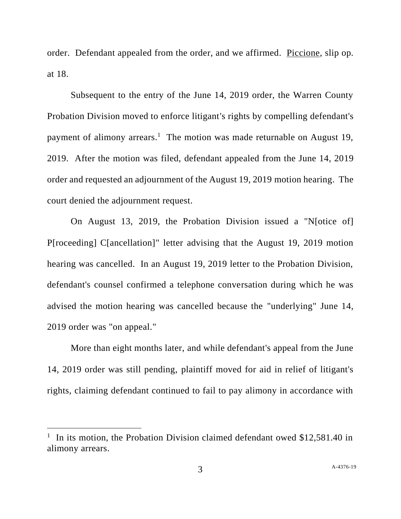order. Defendant appealed from the order, and we affirmed. Piccione, slip op. at 18.

Subsequent to the entry of the June 14, 2019 order, the Warren County Probation Division moved to enforce litigant's rights by compelling defendant's payment of alimony arrears.<sup>1</sup> The motion was made returnable on August 19, 2019. After the motion was filed, defendant appealed from the June 14, 2019 order and requested an adjournment of the August 19, 2019 motion hearing. The court denied the adjournment request.

On August 13, 2019, the Probation Division issued a "N[otice of] P[roceeding] C[ancellation]" letter advising that the August 19, 2019 motion hearing was cancelled. In an August 19, 2019 letter to the Probation Division, defendant's counsel confirmed a telephone conversation during which he was advised the motion hearing was cancelled because the "underlying" June 14, 2019 order was "on appeal."

More than eight months later, and while defendant's appeal from the June 14, 2019 order was still pending, plaintiff moved for aid in relief of litigant's rights, claiming defendant continued to fail to pay alimony in accordance with

<sup>&</sup>lt;sup>1</sup> In its motion, the Probation Division claimed defendant owed \$12,581.40 in alimony arrears.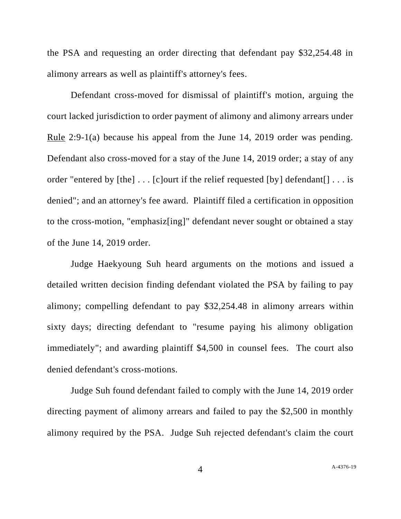the PSA and requesting an order directing that defendant pay \$32,254.48 in alimony arrears as well as plaintiff's attorney's fees.

Defendant cross-moved for dismissal of plaintiff's motion, arguing the court lacked jurisdiction to order payment of alimony and alimony arrears under Rule 2:9-1(a) because his appeal from the June 14, 2019 order was pending. Defendant also cross-moved for a stay of the June 14, 2019 order; a stay of any order "entered by  $[the] \dots [c]$  ourt if the relief requested  $[by]$  defendant $[] \dots$  is denied"; and an attorney's fee award. Plaintiff filed a certification in opposition to the cross-motion, "emphasiz[ing]" defendant never sought or obtained a stay of the June 14, 2019 order.

Judge Haekyoung Suh heard arguments on the motions and issued a detailed written decision finding defendant violated the PSA by failing to pay alimony; compelling defendant to pay \$32,254.48 in alimony arrears within sixty days; directing defendant to "resume paying his alimony obligation immediately"; and awarding plaintiff \$4,500 in counsel fees. The court also denied defendant's cross-motions.

Judge Suh found defendant failed to comply with the June 14, 2019 order directing payment of alimony arrears and failed to pay the \$2,500 in monthly alimony required by the PSA. Judge Suh rejected defendant's claim the court

4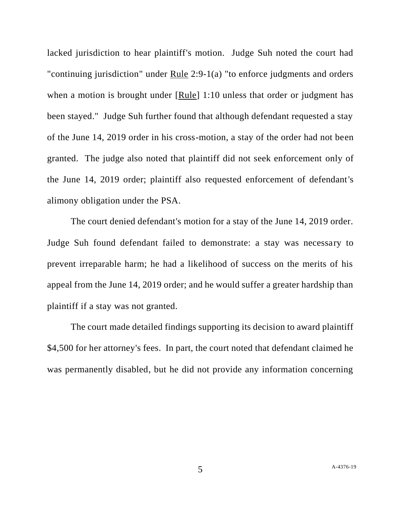lacked jurisdiction to hear plaintiff's motion. Judge Suh noted the court had "continuing jurisdiction" under Rule 2:9-1(a) "to enforce judgments and orders when a motion is brought under [Rule] 1:10 unless that order or judgment has been stayed." Judge Suh further found that although defendant requested a stay of the June 14, 2019 order in his cross-motion, a stay of the order had not been granted. The judge also noted that plaintiff did not seek enforcement only of the June 14, 2019 order; plaintiff also requested enforcement of defendant's alimony obligation under the PSA.

The court denied defendant's motion for a stay of the June 14, 2019 order. Judge Suh found defendant failed to demonstrate: a stay was necessary to prevent irreparable harm; he had a likelihood of success on the merits of his appeal from the June 14, 2019 order; and he would suffer a greater hardship than plaintiff if a stay was not granted.

The court made detailed findings supporting its decision to award plaintiff \$4,500 for her attorney's fees. In part, the court noted that defendant claimed he was permanently disabled, but he did not provide any information concerning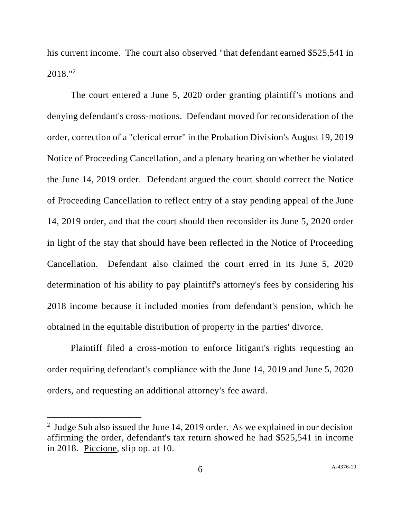his current income. The court also observed "that defendant earned \$525,541 in 2018." 2

The court entered a June 5, 2020 order granting plaintiff's motions and denying defendant's cross-motions. Defendant moved for reconsideration of the order, correction of a "clerical error" in the Probation Division's August 19, 2019 Notice of Proceeding Cancellation, and a plenary hearing on whether he violated the June 14, 2019 order. Defendant argued the court should correct the Notice of Proceeding Cancellation to reflect entry of a stay pending appeal of the June 14, 2019 order, and that the court should then reconsider its June 5, 2020 order in light of the stay that should have been reflected in the Notice of Proceeding Cancellation. Defendant also claimed the court erred in its June 5, 2020 determination of his ability to pay plaintiff's attorney's fees by considering his 2018 income because it included monies from defendant's pension, which he obtained in the equitable distribution of property in the parties' divorce.

Plaintiff filed a cross-motion to enforce litigant's rights requesting an order requiring defendant's compliance with the June 14, 2019 and June 5, 2020 orders, and requesting an additional attorney's fee award.

<sup>&</sup>lt;sup>2</sup> Judge Suh also issued the June 14, 2019 order. As we explained in our decision affirming the order, defendant's tax return showed he had \$525,541 in income in 2018. Piccione, slip op. at 10.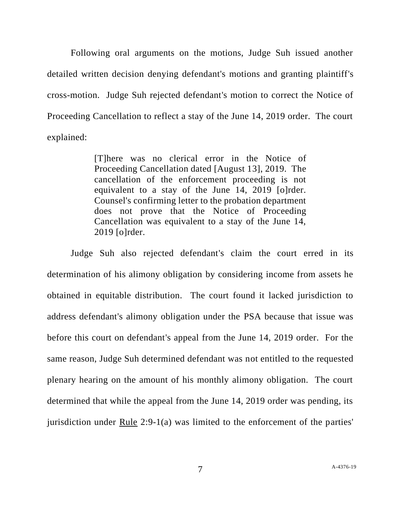Following oral arguments on the motions, Judge Suh issued another detailed written decision denying defendant's motions and granting plaintiff's cross-motion. Judge Suh rejected defendant's motion to correct the Notice of Proceeding Cancellation to reflect a stay of the June 14, 2019 order. The court explained:

> [T]here was no clerical error in the Notice of Proceeding Cancellation dated [August 13], 2019. The cancellation of the enforcement proceeding is not equivalent to a stay of the June 14, 2019 [o]rder. Counsel's confirming letter to the probation department does not prove that the Notice of Proceeding Cancellation was equivalent to a stay of the June 14, 2019 [o]rder.

Judge Suh also rejected defendant's claim the court erred in its determination of his alimony obligation by considering income from assets he obtained in equitable distribution. The court found it lacked jurisdiction to address defendant's alimony obligation under the PSA because that issue was before this court on defendant's appeal from the June 14, 2019 order. For the same reason, Judge Suh determined defendant was not entitled to the requested plenary hearing on the amount of his monthly alimony obligation. The court determined that while the appeal from the June 14, 2019 order was pending, its jurisdiction under Rule 2:9-1(a) was limited to the enforcement of the parties'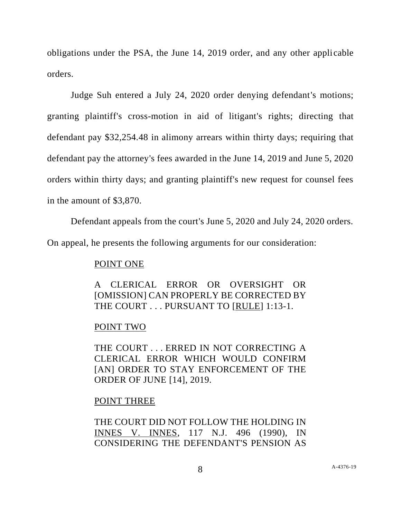obligations under the PSA, the June 14, 2019 order, and any other applicable orders.

Judge Suh entered a July 24, 2020 order denying defendant's motions; granting plaintiff's cross-motion in aid of litigant's rights; directing that defendant pay \$32,254.48 in alimony arrears within thirty days; requiring that defendant pay the attorney's fees awarded in the June 14, 2019 and June 5, 2020 orders within thirty days; and granting plaintiff's new request for counsel fees in the amount of \$3,870.

Defendant appeals from the court's June 5, 2020 and July 24, 2020 orders.

On appeal, he presents the following arguments for our consideration:

## POINT ONE

A CLERICAL ERROR OR OVERSIGHT OR [OMISSION] CAN PROPERLY BE CORRECTED BY THE COURT . . . PURSUANT TO [RULE] 1:13-1.

# POINT TWO

THE COURT . . . ERRED IN NOT CORRECTING A CLERICAL ERROR WHICH WOULD CONFIRM [AN] ORDER TO STAY ENFORCEMENT OF THE ORDER OF JUNE [14], 2019.

# POINT THREE

THE COURT DID NOT FOLLOW THE HOLDING IN INNES V. INNES, 117 N.J. 496 (1990), IN CONSIDERING THE DEFENDANT'S PENSION AS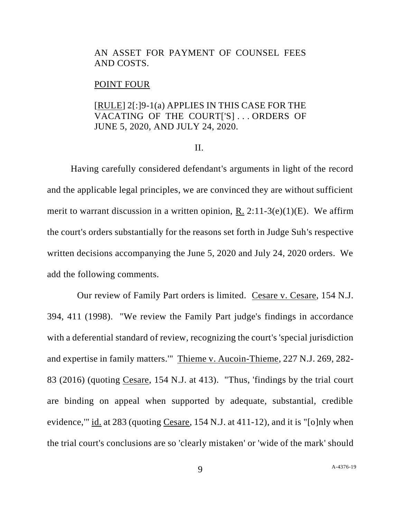### AN ASSET FOR PAYMENT OF COUNSEL FEES AND COSTS.

#### POINT FOUR

### [RULE] 2[:]9-1(a) APPLIES IN THIS CASE FOR THE VACATING OF THE COURT['S] . . . ORDERS OF JUNE 5, 2020, AND JULY 24, 2020.

#### II.

Having carefully considered defendant's arguments in light of the record and the applicable legal principles, we are convinced they are without sufficient merit to warrant discussion in a written opinion, R. 2:11-3(e)(1)(E). We affirm the court's orders substantially for the reasons set forth in Judge Suh's respective written decisions accompanying the June 5, 2020 and July 24, 2020 orders. We add the following comments.

Our review of Family Part orders is limited. Cesare v. Cesare, 154 N.J. 394, 411 (1998). "We review the Family Part judge's findings in accordance with a deferential standard of review, recognizing the court's 'special jurisdiction and expertise in family matters.'" Thieme v. Aucoin-Thieme, 227 N.J. 269, 282- 83 (2016) (quoting Cesare, 154 N.J. at 413). "Thus, 'findings by the trial court are binding on appeal when supported by adequate, substantial, credible evidence,'" id. at 283 (quoting Cesare, 154 N.J. at 411-12), and it is "[o]nly when the trial court's conclusions are so 'clearly mistaken' or 'wide of the mark' should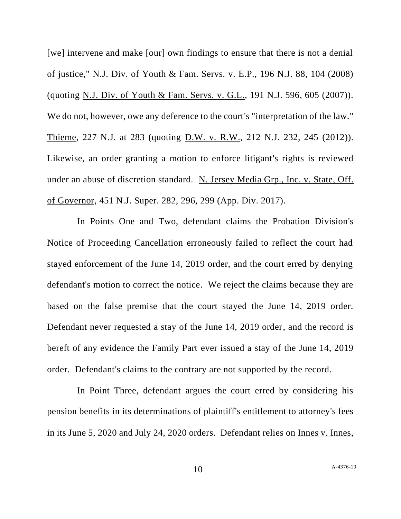[we] intervene and make [our] own findings to ensure that there is not a denial of justice," N.J. Div. of Youth & Fam. Servs. v. E.P., 196 N.J. 88, 104 (2008) (quoting N.J. Div. of Youth & Fam. Servs. v. G.L., 191 N.J. 596, 605 (2007)). We do not, however, owe any deference to the court's "interpretation of the law." Thieme, 227 N.J. at 283 (quoting D.W. v. R.W., 212 N.J. 232, 245 (2012)). Likewise, an order granting a motion to enforce litigant's rights is reviewed under an abuse of discretion standard. N. Jersey Media Grp., Inc. v. State, Off. of Governor, 451 N.J. Super. 282, 296, 299 (App. Div. 2017).

In Points One and Two, defendant claims the Probation Division's Notice of Proceeding Cancellation erroneously failed to reflect the court had stayed enforcement of the June 14, 2019 order, and the court erred by denying defendant's motion to correct the notice. We reject the claims because they are based on the false premise that the court stayed the June 14, 2019 order. Defendant never requested a stay of the June 14, 2019 order, and the record is bereft of any evidence the Family Part ever issued a stay of the June 14, 2019 order. Defendant's claims to the contrary are not supported by the record.

In Point Three, defendant argues the court erred by considering his pension benefits in its determinations of plaintiff's entitlement to attorney's fees in its June 5, 2020 and July 24, 2020 orders. Defendant relies on Innes v. Innes,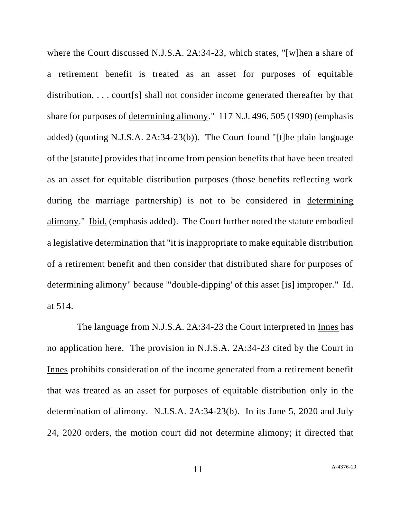where the Court discussed N.J.S.A. 2A:34-23, which states, "[w]hen a share of a retirement benefit is treated as an asset for purposes of equitable distribution, . . . court[s] shall not consider income generated thereafter by that share for purposes of determining alimony." 117 N.J. 496, 505 (1990) (emphasis added) (quoting N.J.S.A. 2A:34-23(b)). The Court found "[t]he plain language of the [statute] provides that income from pension benefits that have been treated as an asset for equitable distribution purposes (those benefits reflecting work during the marriage partnership) is not to be considered in determining alimony." Ibid. (emphasis added). The Court further noted the statute embodied a legislative determination that "it is inappropriate to make equitable distribution of a retirement benefit and then consider that distributed share for purposes of determining alimony" because "'double-dipping' of this asset [is] improper." Id. at 514.

The language from N.J.S.A. 2A:34-23 the Court interpreted in <u>Innes</u> has no application here. The provision in N.J.S.A. 2A:34-23 cited by the Court in Innes prohibits consideration of the income generated from a retirement benefit that was treated as an asset for purposes of equitable distribution only in the determination of alimony. N.J.S.A. 2A:34-23(b). In its June 5, 2020 and July 24, 2020 orders, the motion court did not determine alimony; it directed that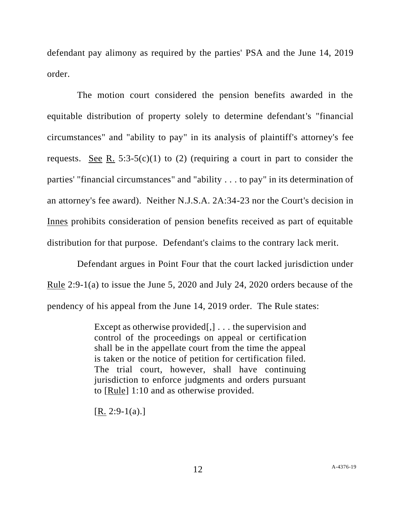defendant pay alimony as required by the parties' PSA and the June 14, 2019 order.

The motion court considered the pension benefits awarded in the equitable distribution of property solely to determine defendant's "financial circumstances" and "ability to pay" in its analysis of plaintiff's attorney's fee requests. See R. 5:3-5(c)(1) to (2) (requiring a court in part to consider the parties' "financial circumstances" and "ability . . . to pay" in its determination of an attorney's fee award). Neither N.J.S.A. 2A:34-23 nor the Court's decision in Innes prohibits consideration of pension benefits received as part of equitable distribution for that purpose. Defendant's claims to the contrary lack merit.

Defendant argues in Point Four that the court lacked jurisdiction under Rule 2:9-1(a) to issue the June 5, 2020 and July 24, 2020 orders because of the pendency of his appeal from the June 14, 2019 order. The Rule states:

> Except as otherwise provided[,] . . . the supervision and control of the proceedings on appeal or certification shall be in the appellate court from the time the appeal is taken or the notice of petition for certification filed. The trial court, however, shall have continuing jurisdiction to enforce judgments and orders pursuant to [Rule] 1:10 and as otherwise provided.

 $[R. 2:9-1(a).]$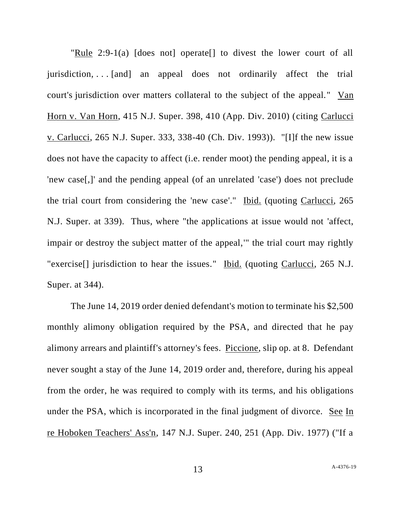"Rule 2:9-1(a) [does not] operate[] to divest the lower court of all jurisdiction, . . . [and] an appeal does not ordinarily affect the trial court's jurisdiction over matters collateral to the subject of the appeal." Van Horn v. Van Horn, 415 N.J. Super. 398, 410 (App. Div. 2010) (citing Carlucci v. Carlucci, 265 N.J. Super. 333, 338-40 (Ch. Div. 1993)). "[I]f the new issue does not have the capacity to affect (i.e. render moot) the pending appeal, it is a 'new case[,]' and the pending appeal (of an unrelated 'case') does not preclude the trial court from considering the 'new case'." Ibid. (quoting Carlucci, 265 N.J. Super. at 339). Thus, where "the applications at issue would not 'affect, impair or destroy the subject matter of the appeal,'" the trial court may rightly "exercise<sup>[]</sup> jurisdiction to hear the issues." Ibid. (quoting Carlucci, 265 N.J. Super. at 344).

The June 14, 2019 order denied defendant's motion to terminate his \$2,500 monthly alimony obligation required by the PSA, and directed that he pay alimony arrears and plaintiff's attorney's fees. Piccione, slip op. at 8. Defendant never sought a stay of the June 14, 2019 order and, therefore, during his appeal from the order, he was required to comply with its terms, and his obligations under the PSA, which is incorporated in the final judgment of divorce. See In re Hoboken Teachers' Ass'n, 147 N.J. Super. 240, 251 (App. Div. 1977) ("If a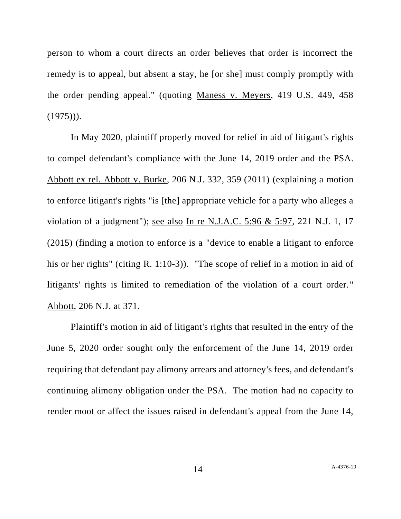person to whom a court directs an order believes that order is incorrect the remedy is to appeal, but absent a stay, he [or she] must comply promptly with the order pending appeal." (quoting Maness v. Meyers, 419 U.S. 449, 458  $(1975))$ .

In May 2020, plaintiff properly moved for relief in aid of litigant's rights to compel defendant's compliance with the June 14, 2019 order and the PSA. Abbott ex rel. Abbott v. Burke, 206 N.J. 332, 359 (2011) (explaining a motion to enforce litigant's rights "is [the] appropriate vehicle for a party who alleges a violation of a judgment"); see also In re N.J.A.C. 5:96 & 5:97, 221 N.J. 1, 17 (2015) (finding a motion to enforce is a "device to enable a litigant to enforce his or her rights" (citing  $R_1$  1:10-3)). "The scope of relief in a motion in aid of litigants' rights is limited to remediation of the violation of a court order." Abbott, 206 N.J. at 371.

Plaintiff's motion in aid of litigant's rights that resulted in the entry of the June 5, 2020 order sought only the enforcement of the June 14, 2019 order requiring that defendant pay alimony arrears and attorney's fees, and defendant's continuing alimony obligation under the PSA. The motion had no capacity to render moot or affect the issues raised in defendant's appeal from the June 14,